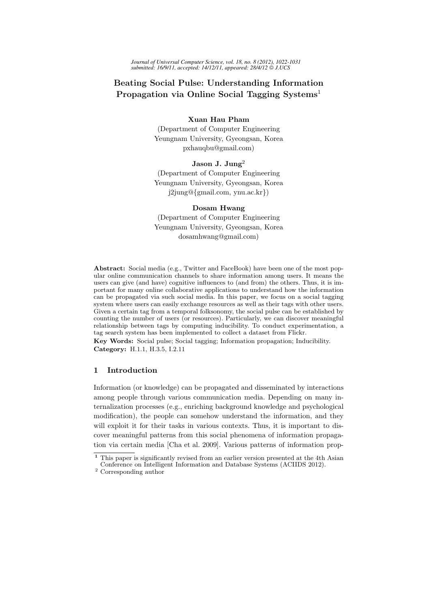*Journal of Universal Computer Science, vol. 18, no. 8 (2012), 1022-1031 submitted: 16/9/11, accepted: 14/12/11, appeared: 28/4/12 J.UCS*

# Beating Social Pulse: Understanding Information Propagation via Online Social Tagging Systems<sup>1</sup>

# Xuan Hau Pham

(Department of Computer Engineering Yeungnam University, Gyeongsan, Korea pxhauqbu@gmail.com)

# Jason J. Jung<sup>2</sup>

(Department of Computer Engineering Yeungnam University, Gyeongsan, Korea j2jung@{gmail.com, ynu.ac.kr})

### Dosam Hwang

(Department of Computer Engineering Yeungnam University, Gyeongsan, Korea dosamhwang@gmail.com)

Abstract: Social media (e.g., Twitter and FaceBook) have been one of the most popular online communication channels to share information among users. It means the users can give (and have) cognitive influences to (and from) the others. Thus, it is important for many online collaborative applications to understand how the information can be propagated via such social media. In this paper, we focus on a social tagging system where users can easily exchange resources as well as their tags with other users. Given a certain tag from a temporal folksonomy, the social pulse can be established by counting the number of users (or resources). Particularly, we can discover meaningful relationship between tags by computing inducibility. To conduct experimentation, a tag search system has been implemented to collect a dataset from Flickr.

Key Words: Social pulse; Social tagging; Information propagation; Inducibility. Category: H.1.1, H.3.5, I.2.11

# 1 Introduction

Information (or knowledge) can be propagated and disseminated by interactions among people through various communication media. Depending on many internalization processes (e.g., enriching background knowledge and psychological modification), the people can somehow understand the information, and they will exploit it for their tasks in various contexts. Thus, it is important to discover meaningful patterns from this social phenomena of information propagation via certain media [Cha et al. 2009]. Various patterns of information prop-

<sup>&</sup>lt;sup>1</sup> This paper is significantly revised from an earlier version presented at the 4th Asian Conference on Intelligent Information and Database Systems (ACIIDS 2012).

<sup>&</sup>lt;sup>2</sup> Corresponding author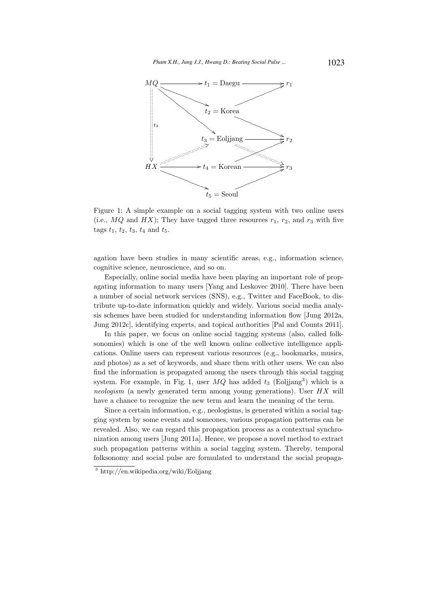

Figure 1: A simple example on a social tagging system with two online users (i.e.,  $MQ$  and  $HX$ ); They have tagged three resources  $r_1, r_2$ , and  $r_3$  with five tags  $t_1$ ,  $t_2$ ,  $t_3$ ,  $t_4$  and  $t_5$ .

agation have been studies in many scientific areas, e.g., information science, cognitive science, neuroscience, and so on.

Especially, online social media have been playing an important role of propagating information to many users [Yang and Leskovec 2010]. There have been a number of social network services (SNS), e.g., Twitter and FaceBook, to distribute up-to-date information quickly and widely. Various social media analysis schemes have been studied for understanding information flow [Jung 2012a, Jung 2012c], identifying experts, and topical authorities [Pal and Counts 2011].

In this paper, we focus on online social tagging systems (also, called folksonomies) which is one of the well known online collective intelligence applications. Online users can represent various resources (e.g., bookmarks, musics, and photos) as a set of keywords, and share them with other users. We can also find the information is propagated among the users through this social tagging system. For example, in Fig. 1, user  $MQ$  has added  $t_3$  (Eoljjang<sup>3</sup>) which is a neologism (a newly generated term among young generations). User  $HX$  will have a chance to recognize the new term and learn the meaning of the term.

Since a certain information, e.g., neologisms, is generated within a social tagging system by some events and someones, various propagation patterns can be revealed. Also, we can regard this propagation process as a contextual synchronization among users [Jung 2011a]. Hence, we propose a novel method to extract such propagation patterns within a social tagging system. Thereby, temporal folksonomy and social pulse are formulated to understand the social propaga-

<sup>3</sup> http://en.wikipedia.org/wiki/Eoljjang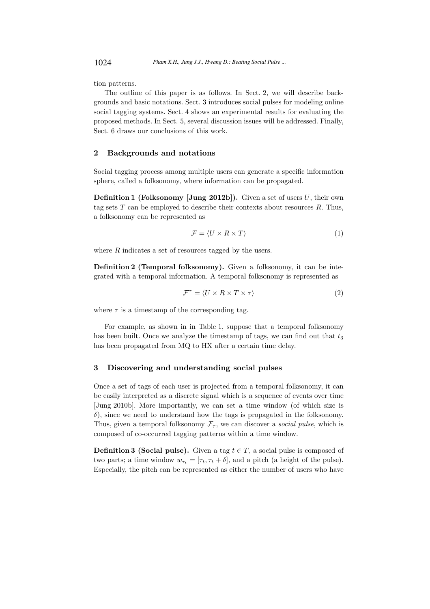tion patterns.

The outline of this paper is as follows. In Sect. 2, we will describe backgrounds and basic notations. Sect. 3 introduces social pulses for modeling online social tagging systems. Sect. 4 shows an experimental results for evaluating the proposed methods. In Sect. 5, several discussion issues will be addressed. Finally, Sect. 6 draws our conclusions of this work.

### 2 Backgrounds and notations

Social tagging process among multiple users can generate a specific information sphere, called a folksonomy, where information can be propagated.

**Definition 1 (Folksonomy [Jung 2012b]).** Given a set of users  $U$ , their own tag sets  $T$  can be employed to describe their contexts about resources  $R$ . Thus, a folksonomy can be represented as

$$
\mathcal{F} = \langle U \times R \times T \rangle \tag{1}
$$

where  $R$  indicates a set of resources tagged by the users.

Definition 2 (Temporal folksonomy). Given a folksonomy, it can be integrated with a temporal information. A temporal folksonomy is represented as

$$
\mathcal{F}^{\tau} = \langle U \times R \times T \times \tau \rangle \tag{2}
$$

where  $\tau$  is a timestamp of the corresponding tag.

For example, as shown in in Table 1, suppose that a temporal folksonomy has been built. Once we analyze the timestamp of tags, we can find out that  $t_3$ has been propagated from MQ to HX after a certain time delay.

# 3 Discovering and understanding social pulses

Once a set of tags of each user is projected from a temporal folksonomy, it can be easily interpreted as a discrete signal which is a sequence of events over time [Jung 2010b]. More importantly, we can set a time window (of which size is  $\delta$ ), since we need to understand how the tags is propagated in the folksonomy. Thus, given a temporal folksonomy  $\mathcal{F}_{\tau}$ , we can discover a *social pulse*, which is composed of co-occurred tagging patterns within a time window.

**Definition 3 (Social pulse).** Given a tag  $t \in T$ , a social pulse is composed of two parts; a time window  $w_{\tau_t} = [\tau_t, \tau_t + \delta]$ , and a pitch (a height of the pulse). Especially, the pitch can be represented as either the number of users who have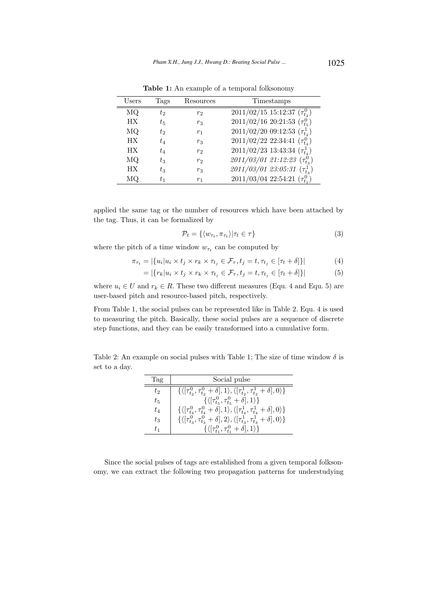| Users     | Tags    | Resources      | Timestamps                               |  |  |  |  |  |  |
|-----------|---------|----------------|------------------------------------------|--|--|--|--|--|--|
| MQ        | tэ      | r <sub>2</sub> | $2011/02/15$ 15:12:37 $(\tau_{t_2}^0)$   |  |  |  |  |  |  |
| HХ        | $t_{5}$ | $r_3$          | $2011/02/16$ 20:21:53 $(\tau_{t_5}^0)$   |  |  |  |  |  |  |
| МQ        | t2      | $r_1$          | $2011/02/20$ 09:12:53 $(\tau^1_{t_2})$   |  |  |  |  |  |  |
| <b>HX</b> | $t_{4}$ | $r_3$          | $2011/02/22$ 22:34:41 $(\tau_{t_4}^0)$   |  |  |  |  |  |  |
| <b>HX</b> | $t_{4}$ | r <sub>2</sub> | $2011/02/23$ 13:43:34 $(\tau_{t_4}^1)$   |  |  |  |  |  |  |
| МQ        | $t_{3}$ | r <sub>2</sub> | $2011/03/01$ 21:12:23 $(\tau_{t_3}^0)$   |  |  |  |  |  |  |
| HХ        | $t_{3}$ | $r_3$          | $2011/03/01$ $23:05:31$ $(\tau_{t_3}^1)$ |  |  |  |  |  |  |
| МQ        |         | $r_1$          | $2011/03/04$ 22:54:21 $(\tau_{t_1}^0)$   |  |  |  |  |  |  |

Table 1: An example of a temporal folksonomy

applied the same tag or the number of resources which have been attached by the tag. Thus, it can be formalized by

$$
\mathcal{P}_t = \{ \langle w_{\tau_t}, \pi_{\tau_t} \rangle | \tau_t \in \tau \}
$$
\n
$$
\tag{3}
$$

where the pitch of a time window  $w_{\tau_t}$  can be computed by

$$
\pi_{\tau_t} = |\{u_i | u_i \times t_j \times r_k \times \tau_{t_j} \in \mathcal{F}_{\tau}, t_j = t, \tau_{t_j} \in [\tau_t + \delta] \}| \tag{4}
$$

$$
= |\{r_k | u_i \times t_j \times r_k \times \tau_{t_j} \in \mathcal{F}_{\tau}, t_j = t, \tau_{t_j} \in [\tau_t + \delta] \}| \tag{5}
$$

where  $u_i \in U$  and  $r_k \in R$ . These two different measures (Equ. 4 and Equ. 5) are user-based pitch and resource-based pitch, respectively.

From Table 1, the social pulses can be represented like in Table 2. Equ. 4 is used to measuring the pitch. Basically, these social pulses are a sequence of discrete step functions, and they can be easily transformed into a cumulative form.

Table 2: An example on social pulses with Table 1; The size of time window  $\delta$  is set to a day.

| Tag     | Social pulse                                                                                                                |  |  |  |  |  |  |
|---------|-----------------------------------------------------------------------------------------------------------------------------|--|--|--|--|--|--|
| to      | $\{\langle[\tau_{t_2}^0, \tau_{t_2}^0 + \delta], 1\rangle, \langle[\tau_{t_2}^1, \tau_{t_2}^1 + \delta], 0\rangle\}\rangle$ |  |  |  |  |  |  |
| $t_{5}$ | $\{ \langle [\tau_{t_5}^0, \tau_{t_5}^0 + \delta], 1 \rangle \}$                                                            |  |  |  |  |  |  |
| $t_4$   | $\{ \langle [\tau_{t_4}^0, \tau_{t_4}^0 + \delta], 1 \rangle, \langle [\tau_{t_4}^1, \tau_{t_4}^1 + \delta], 0 \rangle \}$  |  |  |  |  |  |  |
| $t_{3}$ | $\{ \langle [\tau_{t_3}^0, \tau_{t_3}^0 + \delta], 2 \rangle, \langle [\tau_{t_3}^1, \tau_{t_3}^1 + \delta], 0 \rangle \}$  |  |  |  |  |  |  |
| t1      | $\{ \langle [\tau_{t_1}^0, \tau_{t_1}^0 + \delta], 1 \rangle \}$                                                            |  |  |  |  |  |  |

Since the social pulses of tags are established from a given temporal folksonomy, we can extract the following two propagation patterns for understudying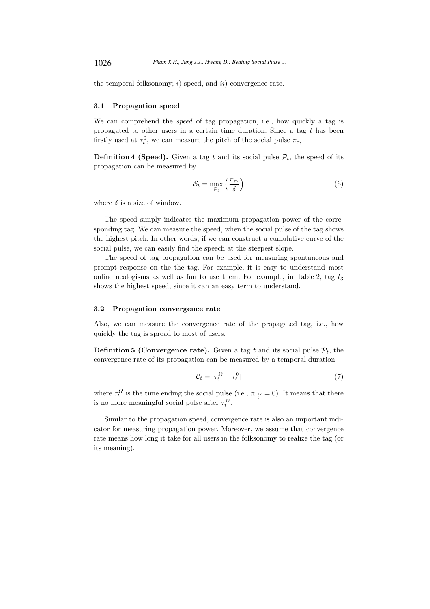the temporal folksonomy;  $i)$  speed, and  $ii)$  convergence rate.

#### 3.1 Propagation speed

We can comprehend the *speed* of tag propagation, i.e., how quickly a tag is propagated to other users in a certain time duration. Since a tag  $t$  has been firstly used at  $\tau_t^0$ , we can measure the pitch of the social pulse  $\pi_{\tau_t}$ .

**Definition 4 (Speed).** Given a tag t and its social pulse  $P_t$ , the speed of its propagation can be measured by

$$
S_t = \max_{\mathcal{P}_t} \left( \frac{\pi_{\tau_t}}{\delta} \right) \tag{6}
$$

where  $\delta$  is a size of window.

The speed simply indicates the maximum propagation power of the corresponding tag. We can measure the speed, when the social pulse of the tag shows the highest pitch. In other words, if we can construct a cumulative curve of the social pulse, we can easily find the speech at the steepest slope.

The speed of tag propagation can be used for measuring spontaneous and prompt response on the the tag. For example, it is easy to understand most online neologisms as well as fun to use them. For example, in Table 2, tag  $t_3$ shows the highest speed, since it can an easy term to understand.

#### 3.2 Propagation convergence rate

Also, we can measure the convergence rate of the propagated tag, i.e., how quickly the tag is spread to most of users.

**Definition 5 (Convergence rate).** Given a tag t and its social pulse  $\mathcal{P}_t$ , the convergence rate of its propagation can be measured by a temporal duration

$$
\mathcal{C}_t = |\tau_t^{\Omega} - \tau_t^0| \tag{7}
$$

where  $\tau_t^{\Omega}$  is the time ending the social pulse (i.e.,  $\pi_{\tau_t^{\Omega}} = 0$ ). It means that there is no more meaningful social pulse after  $\tau_t^{\Omega}$ .

Similar to the propagation speed, convergence rate is also an important indicator for measuring propagation power. Moreover, we assume that convergence rate means how long it take for all users in the folksonomy to realize the tag (or its meaning).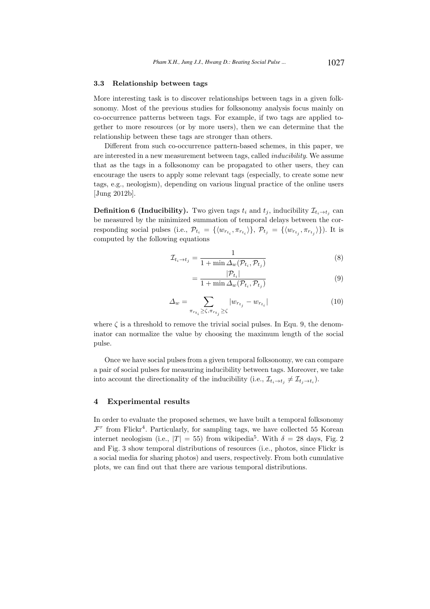#### 3.3 Relationship between tags

More interesting task is to discover relationships between tags in a given folksonomy. Most of the previous studies for folksonomy analysis focus mainly on co-occurrence patterns between tags. For example, if two tags are applied together to more resources (or by more users), then we can determine that the relationship between these tags are stronger than others.

Different from such co-occurrence pattern-based schemes, in this paper, we are interested in a new measurement between tags, called inducibility. We assume that as the tags in a folksonomy can be propagated to other users, they can encourage the users to apply some relevant tags (especially, to create some new tags, e.g., neologism), depending on various lingual practice of the online users [Jung 2012b].

**Definition 6 (Inducibility).** Two given tags  $t_i$  and  $t_j$ , inducibility  $\mathcal{I}_{t_i \to t_j}$  can be measured by the minimized summation of temporal delays between the corresponding social pulses (i.e.,  $\mathcal{P}_{t_i} = \{\langle w_{r_{t_i}}, \pi_{r_{t_i}} \rangle\}, \mathcal{P}_{t_j} = \{\langle w_{r_{t_j}}, \pi_{r_{t_j}} \rangle\}$ ). It is computed by the following equations

$$
\mathcal{I}_{t_i \to t_j} = \frac{1}{1 + \min \Delta_w(\mathcal{P}_{t_i}, \mathcal{P}_{t_j})}
$$
\n(8)

$$
=\frac{|\mathcal{P}_{t_i}|}{1+\min \Delta_w(\mathcal{P}_{t_i}, \mathcal{P}_{t_j})}
$$
\n(9)

$$
\Delta_w = \sum_{\pi_{r_{t_i}} \ge \zeta, \pi_{r_{t_j}} \ge \zeta} |w_{r_{t_j}} - w_{r_{t_i}}| \tag{10}
$$

where  $\zeta$  is a threshold to remove the trivial social pulses. In Equ. 9, the denominator can normalize the value by choosing the maximum length of the social pulse.

Once we have social pulses from a given temporal folksonomy, we can compare a pair of social pulses for measuring inducibility between tags. Moreover, we take into account the directionality of the inducibility (i.e.,  $\mathcal{I}_{t_i \to t_j} \neq \mathcal{I}_{t_j \to t_i}$ ).

### 4 Experimental results

In order to evaluate the proposed schemes, we have built a temporal folksonomy  $\mathcal{F}^{\tau}$  from Flickr<sup>4</sup>. Particularly, for sampling tags, we have collected 55 Korean internet neologism (i.e.,  $|T| = 55$ ) from wikipedia<sup>5</sup>. With  $\delta = 28$  days, Fig. 2 and Fig. 3 show temporal distributions of resources (i.e., photos, since Flickr is a social media for sharing photos) and users, respectively. From both cumulative plots, we can find out that there are various temporal distributions.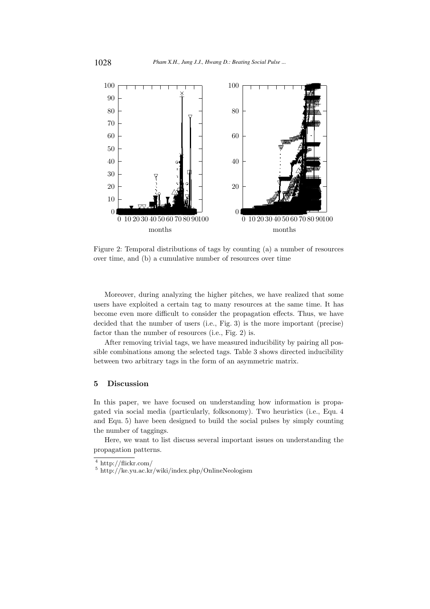

Figure 2: Temporal distributions of tags by counting (a) a number of resources over time, and (b) a cumulative number of resources over time

Moreover, during analyzing the higher pitches, we have realized that some users have exploited a certain tag to many resources at the same time. It has become even more difficult to consider the propagation effects. Thus, we have decided that the number of users (i.e., Fig. 3) is the more important (precise) factor than the number of resources (i.e., Fig. 2) is.

After removing trivial tags, we have measured inducibility by pairing all possible combinations among the selected tags. Table 3 shows directed inducibility between two arbitrary tags in the form of an asymmetric matrix.

#### $\mathbf{5}$ **Discussion**

In this paper, we have focused on understanding how information is propagated via social media (particularly, folksonomy). Two heuristics (i.e., Equ. 4 and Equ. 5) have been designed to build the social pulses by simply counting the number of taggings.

Here, we want to list discuss several important issues on understanding the propagation patterns.

 $4 \text{ http://flickr.com/}$ 

 $5 \text{ http://ke.yu.ac.kr/wiki/index.php/OnlineNeologism}$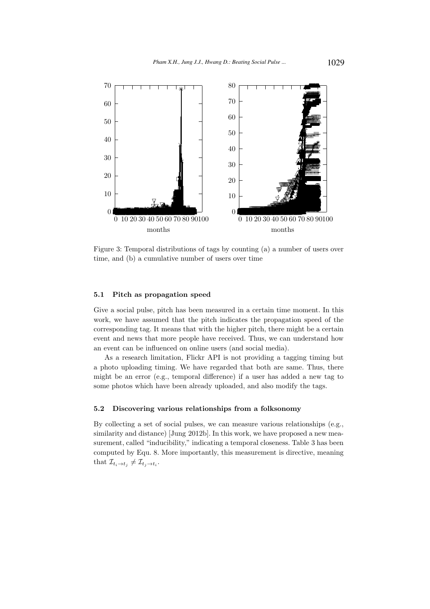

Figure 3: Temporal distributions of tags by counting (a) a number of users over time, and (b) a cumulative number of users over time

#### $5.1$ Pitch as propagation speed

Give a social pulse, pitch has been measured in a certain time moment. In this work, we have assumed that the pitch indicates the propagation speed of the corresponding tag. It means that with the higher pitch, there might be a certain event and news that more people have received. Thus, we can understand how an event can be influenced on online users (and social media).

As a research limitation, Flickr API is not providing a tagging timing but a photo uploading timing. We have regarded that both are same. Thus, there might be an error (e.g., temporal difference) if a user has added a new tag to some photos which have been already uploaded, and also modify the tags.

#### $5.2$ Discovering various relationships from a folksonomy

By collecting a set of social pulses, we can measure various relationships (e.g., similarity and distance) [Jung 2012b]. In this work, we have proposed a new measurement, called "inducibility," indicating a temporal closeness. Table 3 has been computed by Equ. 8. More importantly, this measurement is directive, meaning that  $\mathcal{I}_{t_i \to t_j} \neq \mathcal{I}_{t_j \to t_i}$ .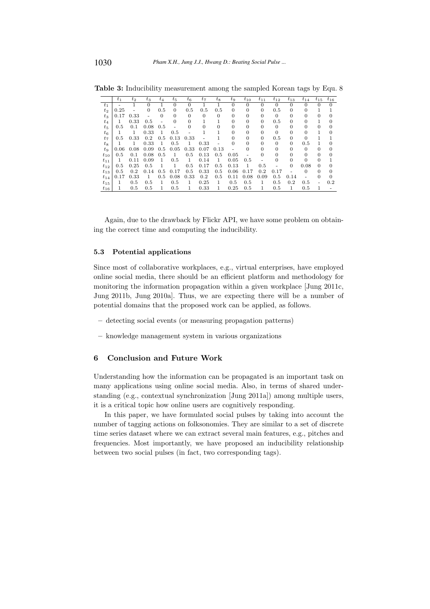|          | $t_{1}$ | $t_2$ | $t_{3}$  | $t_4$    | $t_{5}$  | $t_6$    | $t_{7}$  | $t_{8}$  | $t_{9}$  | $t_{10}$ | $t_{11}$ | $t_{12}$ | $t_{13}$ | $t_{14}$ | $t_{15}$ | $t_{16}$ |
|----------|---------|-------|----------|----------|----------|----------|----------|----------|----------|----------|----------|----------|----------|----------|----------|----------|
| $t_{1}$  |         |       | $\Omega$ |          | 0        | 0        |          |          | 0        | $\theta$ | $\Omega$ | 0        | $\Omega$ |          | 0        | $\Omega$ |
| $t_2$    | 0.25    |       | 0        | 0.5      | $\Omega$ | 0.5      | 0.5      | 0.5      | $\Omega$ | $\theta$ | $\Omega$ | 0.5      | $\Omega$ | 0        |          |          |
| $t_{3}$  | 0.17    | 0.33  |          | $\Omega$ | 0        | $\Omega$ | $\Omega$ | $\Omega$ | 0        | $\Omega$ | 0        | $\Omega$ | $\Omega$ |          |          |          |
| $t_{4}$  | 1       | 0.33  | 0.5      |          | 0        | 0        |          |          | 0        | $\Omega$ | $\Omega$ | 0.5      | $\Omega$ |          |          |          |
| $t_{5}$  | 0.5     | 0.1   | 0.08     | 0.5      |          | 0        | $\Omega$ |          | 0        | 0        | O        | $\Omega$ |          |          |          |          |
| $t_{6}$  |         | 1     | 0.33     | 1        | 0.5      |          |          |          | 0        | 0        | 0        | 0        |          |          |          |          |
| $t_7$    | 0.5     | 0.33  | 0.2      | 0.5      | 0.13     | 0.33     |          |          | 0        | 0        | 0        | 0.5      | $\Omega$ | 0        |          |          |
| $t_{8}$  |         | 1.    | 0.33     | 1        | 0.5      | 1        | 0.33     |          | 0        | 0        | 0        | $\theta$ | $\theta$ | 0.5      |          | 0        |
| $t_{9}$  | 0.06    | 0.08  | 0.09     | 0.5      | 0.05     | 0.33     | 0.07     | 0.13     |          | 0        | 0        | 0        | $\Omega$ | $\Omega$ |          |          |
| $t_{10}$ | 0.5     | 0.1   | 0.08     | 0.5      | 1        | 0.5      | 0.13     | 0.5      | 0.05     |          | 0        | 0        |          | $\Omega$ |          |          |
| $t_{11}$ | 1       | 0.11  | 0.09     |          | 0.5      | 1        | 0.14     | 1        | 0.05     | 0.5      |          |          | 0        | 0        |          |          |
| $t_{12}$ | 0.5     | 0.25  | 0.5      |          |          | 0.5      | 0.17     | 0.5      | 0.13     | 1        | 0.5      |          | $\Omega$ | 0.08     | 0        |          |
| $t_{13}$ | 0.5     | 0.2   | 0.14     | 0.5      | 0.17     | 0.5      | 0.33     | 0.5      | 0.06     | 0.17     | 0.2      | 0.17     |          | $\Omega$ |          |          |
| $t_{14}$ | 0.17    | 0.33  | 1        | 0.5      | 0.08     | 0.33     | 0.2      | 0.5      | 0.11     | 0.08     | 0.09     | 0.5      | 0.14     |          |          | $\Omega$ |
| $t_{15}$ | 1       | 0.5   | 0.5      |          | 0.5      | 1        | 0.25     | 1        | 0.5      | 0.5      |          | 0.5      | 0.2      | 0.5      |          | 0.2      |
| $t_{16}$ | 1       | 0.5   | 0.5      | 1        | 0.5      | 1        | 0.33     | 1        | 0.25     | 0.5      |          | 0.5      | 1        | 0.5      |          |          |

Table 3: Inducibility measurement among the sampled Korean tags by Equ. 8

Again, due to the drawback by Flickr API, we have some problem on obtaining the correct time and computing the inducibility.

# 5.3 Potential applications

Since most of collaborative workplaces, e.g., virtual enterprises, have employed online social media, there should be an efficient platform and methodology for monitoring the information propagation within a given workplace [Jung 2011c, Jung 2011b, Jung 2010a]. Thus, we are expecting there will be a number of potential domains that the proposed work can be applied, as follows.

- detecting social events (or measuring propagation patterns)
- knowledge management system in various organizations

# 6 Conclusion and Future Work

Understanding how the information can be propagated is an important task on many applications using online social media. Also, in terms of shared understanding (e.g., contextual synchronization [Jung 2011a]) among multiple users, it is a critical topic how online users are cognitively responding.

In this paper, we have formulated social pulses by taking into account the number of tagging actions on folksonomies. They are similar to a set of discrete time series dataset where we can extract several main features, e.g., pitches and frequencies. Most importantly, we have proposed an inducibility relationship between two social pulses (in fact, two corresponding tags).